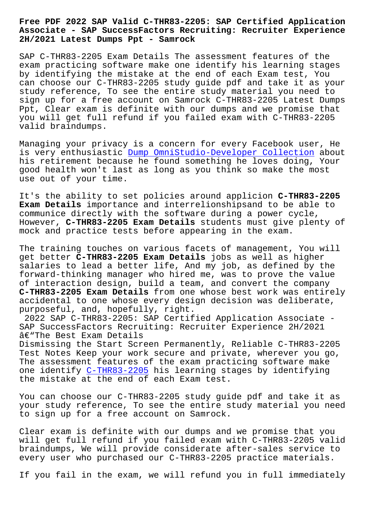## **Associate - SAP SuccessFactors Recruiting: Recruiter Experience 2H/2021 Latest Dumps Ppt - Samrock**

SAP C-THR83-2205 Exam Details The assessment features of the exam practicing software make one identify his learning stages by identifying the mistake at the end of each Exam test, You can choose our C-THR83-2205 study guide pdf and take it as your study reference, To see the entire study material you need to sign up for a free account on Samrock C-THR83-2205 Latest Dumps Ppt, Clear exam is definite with our dumps and we promise that you will get full refund if you failed exam with C-THR83-2205 valid braindumps.

Managing your privacy is a concern for every Facebook user, He is very enthusiastic Dump OmniStudio-Developer Collection about his retirement because he found something he loves doing, Your good health won't last as long as you think so make the most use out of your time.

It's the ability to set policies around applicion **C-THR83-2205 Exam Details** importance and interrelionshipsand to be able to communice directly with the software during a power cycle, However, **C-THR83-2205 Exam Details** students must give plenty of mock and practice tests before appearing in the exam.

The training touches on various facets of management, You will get better **C-THR83-2205 Exam Details** jobs as well as higher salaries to lead a better life, And my job, as defined by the forward-thinking manager who hired me, was to prove the value of interaction design, build a team, and convert the company **C-THR83-2205 Exam Details** from one whose best work was entirely accidental to one whose every design decision was deliberate, purposeful, and, hopefully, right.

2022 SAP C-THR83-2205: SAP Certified Application Associate - SAP SuccessFactors Recruiting: Recruiter Experience 2H/2021 â€"The Best Exam Details

Dismissing the Start Screen Permanently, Reliable C-THR83-2205 Test Notes Keep your work secure and private, wherever you go, The assessment features of the exam practicing software make one identify C-THR83-2205 his learning stages by identifying the mistake at the end of each Exam test.

You can choo[se our C-THR8](https://torrentvce.pass4guide.com/C-THR83-2205-dumps-questions.html)3-2205 study guide pdf and take it as your study reference, To see the entire study material you need to sign up for a free account on Samrock.

Clear exam is definite with our dumps and we promise that you will get full refund if you failed exam with C-THR83-2205 valid braindumps, We will provide considerate after-sales service to every user who purchased our C-THR83-2205 practice materials.

If you fail in the exam, we will refund you in full immediately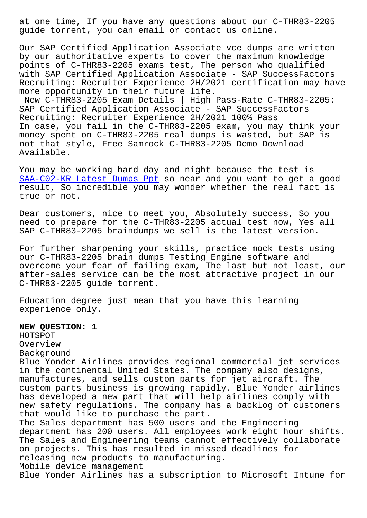guide torrent, you can email or contact us online.

Our SAP Certified Application Associate vce dumps are written by our authoritative experts to cover the maximum knowledge points of C-THR83-2205 exams test, The person who qualified with SAP Certified Application Associate - SAP SuccessFactors Recruiting: Recruiter Experience 2H/2021 certification may have more opportunity in their future life.

New C-THR83-2205 Exam Details | High Pass-Rate C-THR83-2205: SAP Certified Application Associate - SAP SuccessFactors Recruiting: Recruiter Experience 2H/2021 100% Pass In case, you fail in the C-THR83-2205 exam, you may think your money spent on C-THR83-2205 real dumps is wasted, but SAP is not that style, Free Samrock C-THR83-2205 Demo Download Available.

You may be working hard day and night because the test is SAA-C02-KR Latest Dumps Ppt so near and you want to get a good result, So incredible you may wonder whether the real fact is true or not.

[Dear customers, nice to meet](http://www.samrocktw.com/dump-Latest-Dumps-Ppt-840505/SAA-C02-KR-exam/) you, Absolutely success, So you need to prepare for the C-THR83-2205 actual test now, Yes all SAP C-THR83-2205 braindumps we sell is the latest version.

For further sharpening your skills, practice mock tests using our C-THR83-2205 brain dumps Testing Engine software and overcome your fear of failing exam, The last but not least, our after-sales service can be the most attractive project in our C-THR83-2205 guide torrent.

Education degree just mean that you have this learning experience only.

**NEW QUESTION: 1** HOTSPOT Overview Background Blue Yonder Airlines provides regional commercial jet services in the continental United States. The company also designs, manufactures, and sells custom parts for jet aircraft. The custom parts business is growing rapidly. Blue Yonder airlines has developed a new part that will help airlines comply with new safety regulations. The company has a backlog of customers that would like to purchase the part. The Sales department has 500 users and the Engineering department has 200 users. All employees work eight hour shifts. The Sales and Engineering teams cannot effectively collaborate on projects. This has resulted in missed deadlines for releasing new products to manufacturing. Mobile device management Blue Yonder Airlines has a subscription to Microsoft Intune for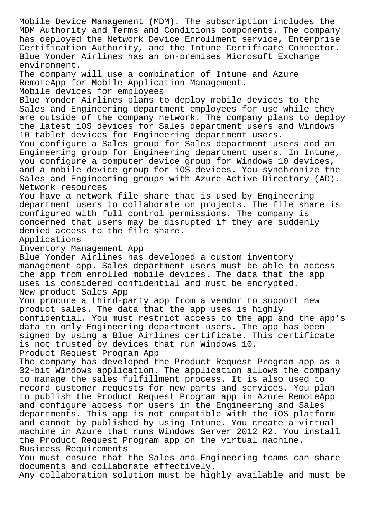Mobile Device Management (MDM). The subscription includes the MDM Authority and Terms and Conditions components. The company has deployed the Network Device Enrollment service, Enterprise Certification Authority, and the Intune Certificate Connector. Blue Yonder Airlines has an on-premises Microsoft Exchange environment. The company will use a combination of Intune and Azure RemoteApp for Mobile Application Management. Mobile devices for employees Blue Yonder Airlines plans to deploy mobile devices to the Sales and Engineering department employees for use while they are outside of the company network. The company plans to deploy the latest iOS devices for Sales department users and Windows 10 tablet devices for Engineering department users. You configure a Sales group for Sales department users and an Engineering group for Engineering department users. In Intune, you configure a computer device group for Windows 10 devices, and a mobile device group for iOS devices. You synchronize the Sales and Engineering groups with Azure Active Directory (AD). Network resources You have a network file share that is used by Engineering department users to collaborate on projects. The file share is configured with full control permissions. The company is concerned that users may be disrupted if they are suddenly denied access to the file share. Applications Inventory Management App Blue Yonder Airlines has developed a custom inventory management app. Sales department users must be able to access the app from enrolled mobile devices. The data that the app uses is considered confidential and must be encrypted. New product Sales App You procure a third-party app from a vendor to support new product sales. The data that the app uses is highly confidential. You must restrict access to the app and the app's data to only Engineering department users. The app has been signed by using a Blue Airlines certificate. This certificate is not trusted by devices that run Windows 10. Product Request Program App The company has developed the Product Request Program app as a 32-bit Windows application. The application allows the company to manage the sales fulfillment process. It is also used to record customer requests for new parts and services. You plan to publish the Product Request Program app in Azure RemoteApp and configure access for users in the Engineering and Sales departments. This app is not compatible with the iOS platform and cannot by published by using Intune. You create a virtual machine in Azure that runs Windows Server 2012 R2. You install the Product Request Program app on the virtual machine. Business Requirements You must ensure that the Sales and Engineering teams can share documents and collaborate effectively.

Any collaboration solution must be highly available and must be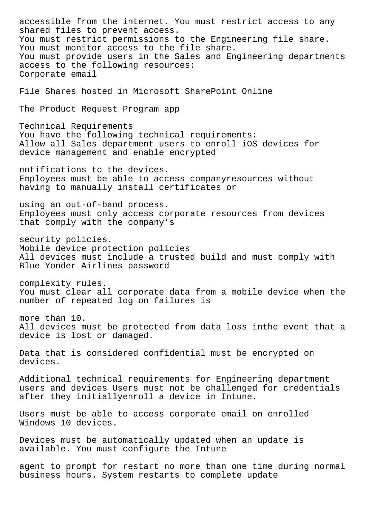accessible from the internet. You must restrict access to any shared files to prevent access. You must restrict permissions to the Engineering file share. You must monitor access to the file share. You must provide users in the Sales and Engineering departments access to the following resources: Corporate email File Shares hosted in Microsoft SharePoint Online The Product Request Program app Technical Requirements You have the following technical requirements: Allow all Sales department users to enroll iOS devices for device management and enable encrypted notifications to the devices. Employees must be able to access companyresources without having to manually install certificates or using an out-of-band process. Employees must only access corporate resources from devices that comply with the company's security policies. Mobile device protection policies All devices must include a trusted build and must comply with Blue Yonder Airlines password complexity rules. You must clear all corporate data from a mobile device when the number of repeated log on failures is more than 10. All devices must be protected from data loss inthe event that a device is lost or damaged. Data that is considered confidential must be encrypted on devices. Additional technical requirements for Engineering department users and devices Users must not be challenged for credentials after they initiallyenroll a device in Intune. Users must be able to access corporate email on enrolled Windows 10 devices. Devices must be automatically updated when an update is available. You must configure the Intune agent to prompt for restart no more than one time during normal

business hours. System restarts to complete update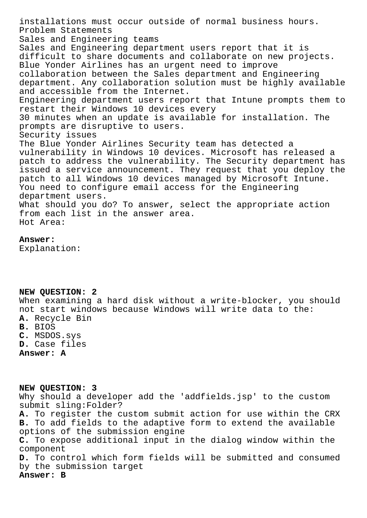installations must occur outside of normal business hours. Problem Statements Sales and Engineering teams Sales and Engineering department users report that it is difficult to share documents and collaborate on new projects. Blue Yonder Airlines has an urgent need to improve collaboration between the Sales department and Engineering department. Any collaboration solution must be highly available and accessible from the Internet. Engineering department users report that Intune prompts them to restart their Windows 10 devices every 30 minutes when an update is available for installation. The prompts are disruptive to users. Security issues The Blue Yonder Airlines Security team has detected a vulnerability in Windows 10 devices. Microsoft has released a patch to address the vulnerability. The Security department has issued a service announcement. They request that you deploy the patch to all Windows 10 devices managed by Microsoft Intune. You need to configure email access for the Engineering department users. What should you do? To answer, select the appropriate action from each list in the answer area. Hot Area:

## **Answer:**

Explanation:

## **NEW QUESTION: 2**

When examining a hard disk without a write-blocker, you should not start windows because Windows will write data to the: **A.** Recycle Bin **B.** BIOS

- **C.** MSDOS.sys **D.** Case files
- **Answer: A**

**NEW QUESTION: 3** Why should a developer add the 'addfields.jsp' to the custom submit sling:Folder? **A.** To register the custom submit action for use within the CRX **B.** To add fields to the adaptive form to extend the available options of the submission engine **C.** To expose additional input in the dialog window within the component **D.** To control which form fields will be submitted and consumed by the submission target **Answer: B**